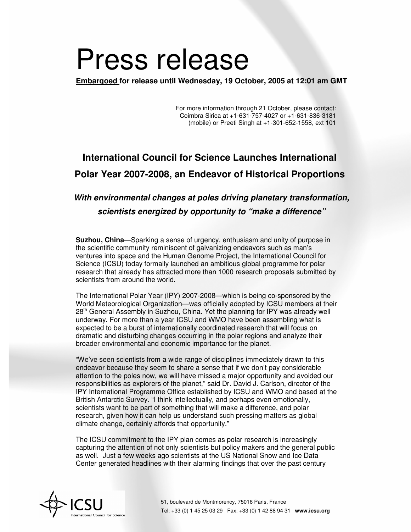## Press release

**Embargoed for release until Wednesday, 19 October, 2005 at 12:01 am GMT**

For more information through 21 October, please contact: Coimbra Sirica at +1-631-757-4027 or +1-631-836-3181 (mobile) or Preeti Singh at +1-301-652-1558, ext 101

## **International Council for Science Launches International Polar Year 2007-2008, an Endeavor of Historical Proportions**

## *With environmental changes at poles driving planetary transformation, scientists energized by opportunity to "make a difference"*

**Suzhou, China**—Sparking a sense of urgency, enthusiasm and unity of purpose in the scientific community reminiscent of galvanizing endeavors such as man's ventures into space and the Human Genome Project, the International Council for Science (ICSU) today formally launched an ambitious global programme for polar research that already has attracted more than 1000 research proposals submitted by scientists from around the world.

The International Polar Year (IPY) 2007-2008—which is being co-sponsored by the World Meteorological Organization—was officially adopted by ICSU members at their 28<sup>th</sup> General Assembly in Suzhou, China. Yet the planning for IPY was already well underway. For more than a year ICSU and WMO have been assembling what is expected to be a burst of internationally coordinated research that will focus on dramatic and disturbing changes occurring in the polar regions and analyze their broader environmental and economic importance for the planet.

"We've seen scientists from a wide range of disciplines immediately drawn to this endeavor because they seem to share a sense that if we don't pay considerable attention to the poles now, we will have missed a major opportunity and avoided our responsibilities as explorers of the planet," said Dr. David J. Carlson, director of the IPY International Programme Office established by ICSU and WMO and based at the British Antarctic Survey. "I think intellectually, and perhaps even emotionally, scientists want to be part of something that will make a difference, and polar research, given how it can help us understand such pressing matters as global climate change, certainly affords that opportunity."

The ICSU commitment to the IPY plan comes as polar research is increasingly capturing the attention of not only scientists but policy makers and the general public as well. Just a few weeks ago scientists at the US National Snow and Ice Data Center generated headlines with their alarming findings that over the past century